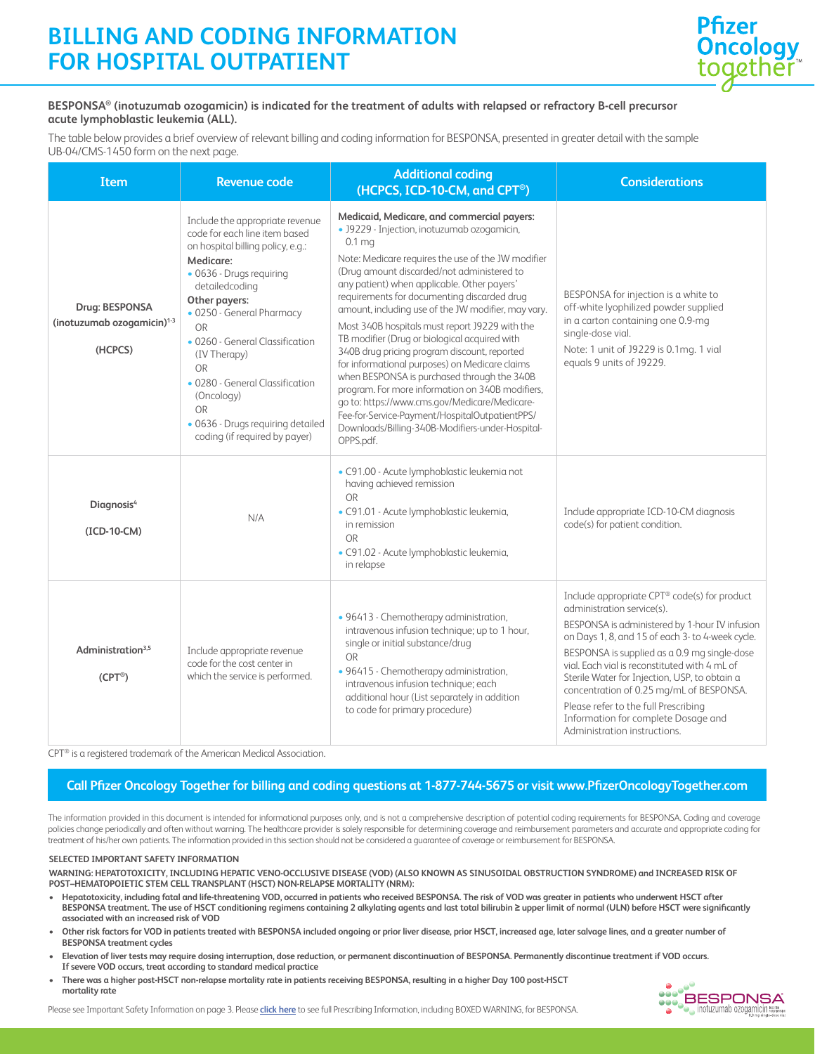## **BILLING AND CODING INFORMATION FOR HOSPITAL OUTPATIENT**



### **BESPONSA® (inotuzumab ozogamicin) is indicated for the treatment of adults with relapsed or refractory B-cell precursor acute lymphoblastic leukemia (ALL).**

The table below provides a brief overview of relevant billing and coding information for BESPONSA, presented in greater detail with the sample UB-04/CMS-1450 form on the next page.

| <b>Item</b>                                                         | <b>Revenue code</b>                                                                                                                                                                                                                                                                                                                                                                                                      | <b>Additional coding</b><br>(HCPCS, ICD-10-CM, and CPT <sup>®</sup> )                                                                                                                                                                                                                                                                                                                                                                                                                                                                                                                                                                                                                                                                                                                                                                               | <b>Considerations</b>                                                                                                                                                                                                                                                                                                                                                                                                                                                                         |
|---------------------------------------------------------------------|--------------------------------------------------------------------------------------------------------------------------------------------------------------------------------------------------------------------------------------------------------------------------------------------------------------------------------------------------------------------------------------------------------------------------|-----------------------------------------------------------------------------------------------------------------------------------------------------------------------------------------------------------------------------------------------------------------------------------------------------------------------------------------------------------------------------------------------------------------------------------------------------------------------------------------------------------------------------------------------------------------------------------------------------------------------------------------------------------------------------------------------------------------------------------------------------------------------------------------------------------------------------------------------------|-----------------------------------------------------------------------------------------------------------------------------------------------------------------------------------------------------------------------------------------------------------------------------------------------------------------------------------------------------------------------------------------------------------------------------------------------------------------------------------------------|
| Drug: BESPONSA<br>(inotuzumab ozogamicin) <sup>1-3</sup><br>(HCPCS) | Include the appropriate revenue<br>code for each line item based<br>on hospital billing policy, e.g.:<br>Medicare:<br>· 0636 - Drugs requiring<br>detailedcoding<br>Other payers:<br>· 0250 - General Pharmacy<br>OR<br>• 0260 - General Classification<br>(IV Therapy)<br><b>OR</b><br>• 0280 - General Classification<br>(Oncology)<br><b>OR</b><br>· 0636 - Drugs requiring detailed<br>coding (if required by payer) | Medicaid, Medicare, and commercial payers:<br>· J9229 - Injection, inotuzumab ozogamicin,<br>0.1 <sub>mg</sub><br>Note: Medicare requires the use of the JW modifier<br>(Drug amount discarded/not administered to<br>any patient) when applicable. Other payers'<br>requirements for documenting discarded drug<br>amount, including use of the JW modifier, may vary.<br>Most 340B hospitals must report J9229 with the<br>TB modifier (Drug or biological acquired with<br>340B drug pricing program discount, reported<br>for informational purposes) on Medicare claims<br>when BESPONSA is purchased through the 340B<br>program. For more information on 340B modifiers,<br>go to: https://www.cms.gov/Medicare/Medicare-<br>Fee-for-Service-Payment/HospitalOutpatientPPS/<br>Downloads/Billing-340B-Modifiers-under-Hospital-<br>OPPS.pdf. | BESPONSA for injection is a white to<br>off-white lyophilized powder supplied<br>in a carton containing one 0.9-mg<br>single-dose vial.<br>Note: 1 unit of J9229 is 0.1mg. 1 vial<br>equals 9 units of J9229.                                                                                                                                                                                                                                                                                 |
| Diagnosis <sup>4</sup><br>(ICD-10-CM)                               | N/A                                                                                                                                                                                                                                                                                                                                                                                                                      | · C91.00 - Acute lymphoblastic leukemia not<br>having achieved remission<br>OR<br>· C91.01 - Acute lymphoblastic leukemia,<br>in remission<br>OR<br>· C91.02 - Acute lymphoblastic leukemia,<br>in relapse                                                                                                                                                                                                                                                                                                                                                                                                                                                                                                                                                                                                                                          | Include appropriate ICD-10-CM diagnosis<br>code(s) for patient condition.                                                                                                                                                                                                                                                                                                                                                                                                                     |
| Administration <sup>3,5</sup><br>$(CPT^{\circledcirc})$             | Include appropriate revenue<br>code for the cost center in<br>which the service is performed.                                                                                                                                                                                                                                                                                                                            | · 96413 - Chemotherapy administration,<br>intravenous infusion technique; up to 1 hour,<br>single or initial substance/drug<br>OR<br>· 96415 - Chemotherapy administration,<br>intravenous infusion technique; each<br>additional hour (List separately in addition<br>to code for primary procedure)                                                                                                                                                                                                                                                                                                                                                                                                                                                                                                                                               | Include appropriate CPT® code(s) for product<br>administration service(s).<br>BESPONSA is administered by 1-hour IV infusion<br>on Days 1, 8, and 15 of each 3- to 4-week cycle.<br>BESPONSA is supplied as a 0.9 mg single-dose<br>vial. Each vial is reconstituted with 4 mL of<br>Sterile Water for Injection, USP, to obtain a<br>concentration of 0.25 mg/mL of BESPONSA.<br>Please refer to the full Prescribing<br>Information for complete Dosage and<br>Administration instructions. |

CPT® is a registered trademark of the American Medical Association.

## **Call Pfizer Oncology Together for billing and coding questions at 1-877-744-5675 or visit www.PfizerOncologyTogether.com**

The information provided in this document is intended for informational purposes only, and is not a comprehensive description of potential coding requirements for BESPONSA. Coding and coverage policies change periodically and often without warning. The healthcare provider is solely responsible for determining coverage and reimbursement parameters and accurate and appropriate coding for treatment of his/her own patients. The information provided in this section should not be considered a guarantee of coverage or reimbursement for BESPONSA.

#### **SELECTED IMPORTANT SAFETY INFORMATION**

**WARNING: HEPATOTOXICITY, INCLUDING HEPATIC VENO-OCCLUSIVE DISEASE (VOD) (ALSO KNOWN AS SINUSOIDAL OBSTRUCTION SYNDROME) and INCREASED RISK OF POST–HEMATOPOIETIC STEM CELL TRANSPLANT (HSCT) NON-RELAPSE MORTALITY (NRM):**

- **Hepatotoxicity, including fatal and life-threatening VOD, occurred in patients who received BESPONSA. The risk of VOD was greater in patients who underwent HSCT after**  BESPONSA treatment. The use of HSCT conditioning regimens containing 2 alkylating agents and last total bilirubin ≥ upper limit of normal (ULN) before HSCT were significantly **associated with an increased risk of VOD**
- **Other risk factors for VOD in patients treated with BESPONSA included ongoing or prior liver disease, prior HSCT, increased age, later salvage lines, and a greater number of BESPONSA treatment cycles**
- **Elevation of liver tests may require dosing interruption, dose reduction, or permanent discontinuation of BESPONSA. Permanently discontinue treatment if VOD occurs. If severe VOD occurs, treat according to standard medical practice**
- **There was a higher post-HSCT non-relapse mortality rate in patients receiving BESPONSA, resulting in a higher Day 100 post-HSCT mortality rate**



Please see Important Safety Information on page 3. Please **click here** to see full Prescribing Information, including BOXED WARNING, for BESPONSA.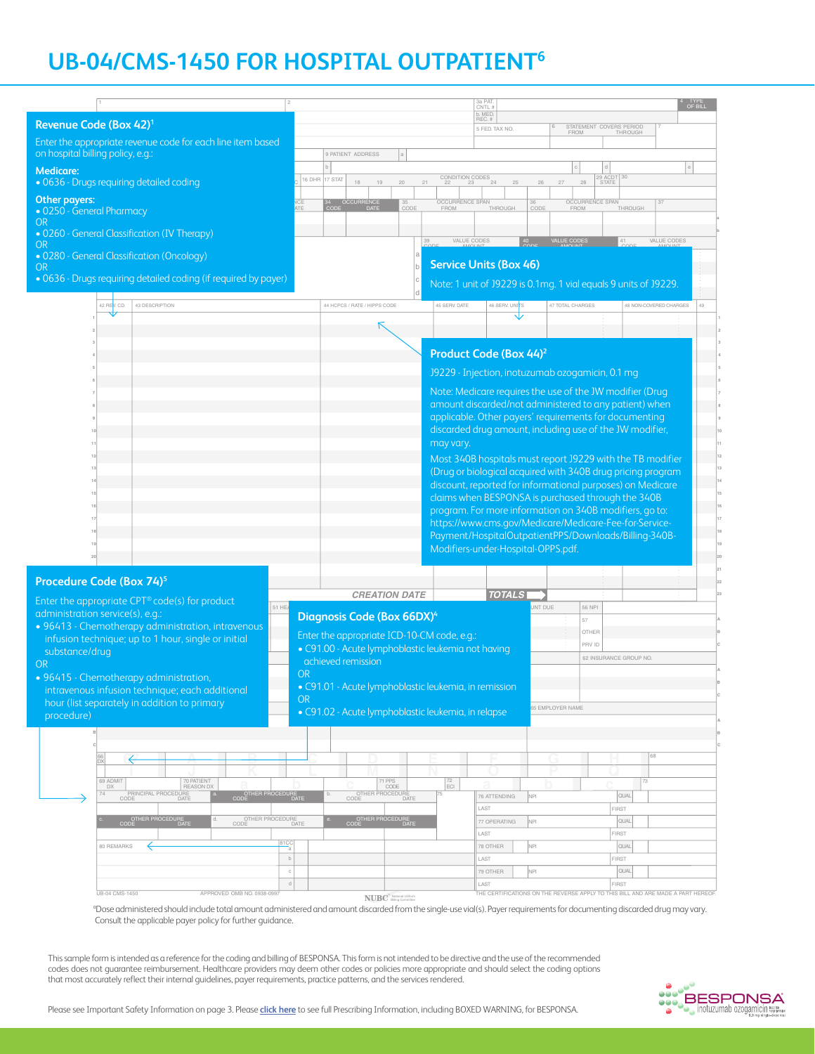# **UB-04/CMS-1450 FOR HOSPITAL OUTPATIENT6**

|                                                                                                                        |                                                                                       | 3a PAT<br>CNTL:                                                                        | <b>OF BILL</b>                                                                                                      |  |
|------------------------------------------------------------------------------------------------------------------------|---------------------------------------------------------------------------------------|----------------------------------------------------------------------------------------|---------------------------------------------------------------------------------------------------------------------|--|
| Revenue Code (Box 42) <sup>1</sup>                                                                                     |                                                                                       | b. MED<br>REC. #                                                                       | STATEMENT COVERS PERIOD                                                                                             |  |
| Enter the appropriate revenue code for each line item based<br>on hospital billing policy, e.g.:                       | 9 PATIENT ADDRESS                                                                     | 5 FED. TAX NO.                                                                         | FROM<br>THROUGH                                                                                                     |  |
| <b>Medicare:</b>                                                                                                       |                                                                                       |                                                                                        |                                                                                                                     |  |
| · 0636 - Drugs requiring detailed coding                                                                               | 16 DHR<br>17 STAT<br>18<br>$19$<br>$20\,$<br>21                                       | CONDITION CODES<br>25<br>26                                                            | 29 ACDT 30<br>STATE<br>27<br>28                                                                                     |  |
| Other payers:<br>• 0250 - General Pharmacy                                                                             | 34 OCCURRENCE<br>35<br>CODE<br>FROM                                                   | OCCURRENCE SPAN<br>36<br>CODE                                                          | OCCURRENCE SPAN<br>FROM<br>THROUGH                                                                                  |  |
| OR.                                                                                                                    |                                                                                       |                                                                                        |                                                                                                                     |  |
| • 0260 - General Classification (IV Therapy)<br>OR.<br>· 0280 - General Classification (Oncology)                      | 39                                                                                    | VALUE CODES<br>40                                                                      | <b>VALUE CODES</b><br>VALUE CODES                                                                                   |  |
| <b>OR</b>                                                                                                              |                                                                                       | <b>Service Units (Box 46)</b>                                                          |                                                                                                                     |  |
| . 0636 - Drugs requiring detailed coding (if required by payer)                                                        |                                                                                       |                                                                                        | Note: 1 unit of J9229 is 0.1mg. 1 vial equals 9 units of J9229.                                                     |  |
| 43 DESCRIPTION<br>42 RE V. CD.                                                                                         | 44 HCPCS / RATE / HIPPS CODE                                                          | 45 SERV. DATE<br>46 SERV. UNITS                                                        | <b>47 TOTAL CHARGES</b><br>48 NON-COVERED CHARGES<br>49                                                             |  |
|                                                                                                                        |                                                                                       |                                                                                        |                                                                                                                     |  |
|                                                                                                                        |                                                                                       |                                                                                        |                                                                                                                     |  |
|                                                                                                                        |                                                                                       | Product Code (Box 44) <sup>2</sup><br>19229 - Injection, inotuzumab ozogamicin, 0.1 mg |                                                                                                                     |  |
|                                                                                                                        |                                                                                       |                                                                                        |                                                                                                                     |  |
|                                                                                                                        |                                                                                       |                                                                                        | Note: Medicare requires the use of the JW modifier (Drug)<br>amount discarded/not administered to any patient) when |  |
|                                                                                                                        |                                                                                       |                                                                                        | applicable. Other payers' requirements for documenting                                                              |  |
|                                                                                                                        |                                                                                       |                                                                                        | discarded drug amount, including use of the JW modifier,                                                            |  |
|                                                                                                                        | may vary.                                                                             |                                                                                        | Most 340B hospitals must report J9229 with the TB modifier                                                          |  |
|                                                                                                                        |                                                                                       |                                                                                        | (Drug or biological acquired with 340B drug pricing program                                                         |  |
|                                                                                                                        |                                                                                       |                                                                                        |                                                                                                                     |  |
|                                                                                                                        |                                                                                       |                                                                                        | discount, reported for informational purposes) on Medicare                                                          |  |
|                                                                                                                        |                                                                                       |                                                                                        | claims when BESPONSA is purchased through the 340B                                                                  |  |
|                                                                                                                        |                                                                                       |                                                                                        | program. For more information on 340B modifiers, go to:                                                             |  |
|                                                                                                                        |                                                                                       |                                                                                        | https://www.cms.gov/Medicare/Medicare-Fee-for-Service-<br>Payment/HospitalOutpatientPPS/Downloads/Billing-340B-     |  |
|                                                                                                                        |                                                                                       | Modifiers-under-Hospital-OPPS.pdf.                                                     |                                                                                                                     |  |
|                                                                                                                        |                                                                                       |                                                                                        |                                                                                                                     |  |
| Procedure Code (Box 74) <sup>5</sup>                                                                                   | <b>CREATION DATE</b>                                                                  |                                                                                        |                                                                                                                     |  |
| Enter the appropriate CPT® code(s) for product                                                                         | 51 HEA                                                                                | <b>TOTALS</b><br>JNT DUE                                                               | 56 NPI                                                                                                              |  |
| administration service(s), e.g.:<br>· 96413 - Chemotherapy administration, intravenous                                 | Diagnosis Code (Box 66DX) <sup>4</sup>                                                |                                                                                        | 57                                                                                                                  |  |
| infusion technique; up to 1 hour, single or initial                                                                    | Enter the appropriate ICD-10-CM code, e.g.:                                           |                                                                                        | OTHEF<br>PRV ID                                                                                                     |  |
| substance/drug                                                                                                         | · C91.00 - Acute lymphoblastic leukemia not having<br>achieved remission              |                                                                                        | 62 INSURANCE GROUP NO                                                                                               |  |
| OR.<br>· 96415 - Chemotherapy administration,                                                                          | <b>OR</b>                                                                             |                                                                                        |                                                                                                                     |  |
| intravenous infusion technique; each additional                                                                        | · C91.01 - Acute lymphoblastic leukemia, in remission                                 |                                                                                        |                                                                                                                     |  |
| hour (list separately in addition to primary                                                                           | OR.                                                                                   |                                                                                        | <b>55 EMPLOYER NAME</b>                                                                                             |  |
| procedure)                                                                                                             | · C91.02 - Acute lymphoblastic leukemia, in relapse                                   |                                                                                        |                                                                                                                     |  |
|                                                                                                                        |                                                                                       |                                                                                        |                                                                                                                     |  |
|                                                                                                                        |                                                                                       |                                                                                        | 68                                                                                                                  |  |
| 69 ADMIT                                                                                                               |                                                                                       |                                                                                        | 73                                                                                                                  |  |
| 70 PATIENT<br>REASON DX<br><b>DX</b><br>PRINCIPAL PROCEDURE<br>CODE DATE<br>OTHER PROCEDURE<br>CODE DATE<br>74<br>DATE | 71 PPS<br>CODE<br>$\sqrt{\frac{72}{\text{EC}}}$<br>OTHER PROCEDURE<br>CODE DATE<br>75 | я<br>76 ATTENDING<br>NPI                                                               | QUAL                                                                                                                |  |
|                                                                                                                        |                                                                                       | LAST                                                                                   | FIRST                                                                                                               |  |
| OTHER PROCEDURE<br>CODE DATE<br>OTHER PROCEDURE<br>CODE DATE                                                           | OTHER PROCEDURE<br>CODE                                                               | NPI<br>77 OPERATING                                                                    | QUAL                                                                                                                |  |
| 80 REMARKS                                                                                                             | $rac{81}{a}$                                                                          | LAST<br>NPI<br>78 OTHER                                                                | <b>FIRST</b><br>QUAL                                                                                                |  |
|                                                                                                                        | $^{\rm b}$                                                                            | LAST                                                                                   | <b>FIRST</b>                                                                                                        |  |
|                                                                                                                        | $_{\rm C}$<br>$\mathbf d$                                                             | 79 OTHER<br>NPI<br>LAST                                                                | <b>QUAL</b><br><b>FIRST</b>                                                                                         |  |

\_\_ \_\_ \_\_

a Dose administered should include total amount administered and amount discarded from the single-use vial(s). Payer requirements for documenting discarded drug may vary. Consult the applicable payer policy for further guidance.

This sample form is intended as a reference for the coding and billing of BESPONSA. This form is not intended to be directive and the use of the recommended codes does not guarantee reimbursement. Healthcare providers may deem other codes or policies more appropriate and should select the coding options that most accurately reflect their internal guidelines, payer requirements, practice patterns, and the services rendered.